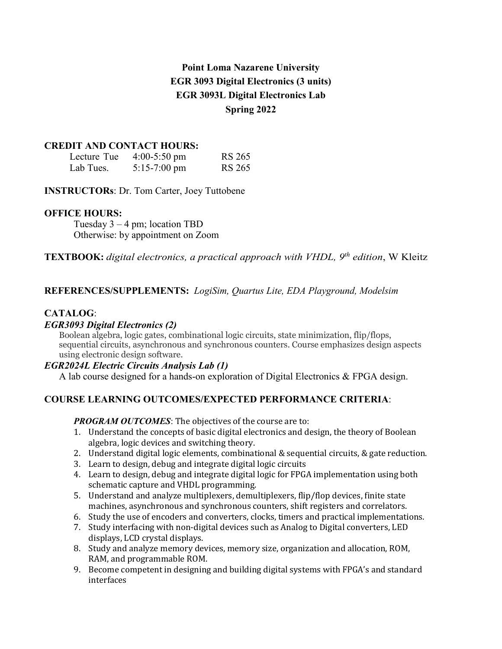# **Point Loma Nazarene University EGR 3093 Digital Electronics (3 units) EGR 3093L Digital Electronics Lab Spring 2022**

#### **CREDIT AND CONTACT HOURS:**

| Lecture Tue | $4:00-5:50$ pm         | <b>RS 265</b> |
|-------------|------------------------|---------------|
| Lab Tues.   | $5:15-7:00 \text{ pm}$ | <b>RS 265</b> |

**INSTRUCTORs**: Dr. Tom Carter, Joey Tuttobene

### **OFFICE HOURS:**

Tuesday  $3 - 4$  pm; location TBD Otherwise: by appointment on Zoom

### **TEXTBOOK:** *digital electronics, a practical approach with VHDL, 9th edition*, W Kleitz

### **REFERENCES/SUPPLEMENTS:** *LogiSim, Quartus Lite, EDA Playground, Modelsim*

### **CATALOG**:

### *EGR3093 Digital Electronics (2)*

Boolean algebra, logic gates, combinational logic circuits, state minimization, flip/flops, sequential circuits, asynchronous and synchronous counters. Course emphasizes design aspects using electronic design software.

#### *EGR2024L Electric Circuits Analysis Lab (1)*

A lab course designed for a hands-on exploration of Digital Electronics & FPGA design.

### **COURSE LEARNING OUTCOMES/EXPECTED PERFORMANCE CRITERIA**:

#### *PROGRAM OUTCOMES*: The objectives of the course are to:

- 1. Understand the concepts of basic digital electronics and design, the theory of Boolean algebra, logic devices and switching theory.
- 2. Understand digital logic elements, combinational & sequential circuits, & gate reduction.
- 3. Learn to design, debug and integrate digital logic circuits
- 4. Learn to design, debug and integrate digital logic for FPGA implementation using both schematic capture and VHDL programming.
- 5. Understand and analyze multiplexers, demultiplexers, flip/flop devices, finite state machines, asynchronous and synchronous counters, shift registers and correlators.
- 6. Study the use of encoders and converters, clocks, timers and practical implementations.
- 7. Study interfacing with non-digital devices such as Analog to Digital converters, LED displays, LCD crystal displays.
- 8. Study and analyze memory devices, memory size, organization and allocation, ROM, RAM, and programmable ROM.
- 9. Become competent in designing and building digital systems with FPGA's and standard interfaces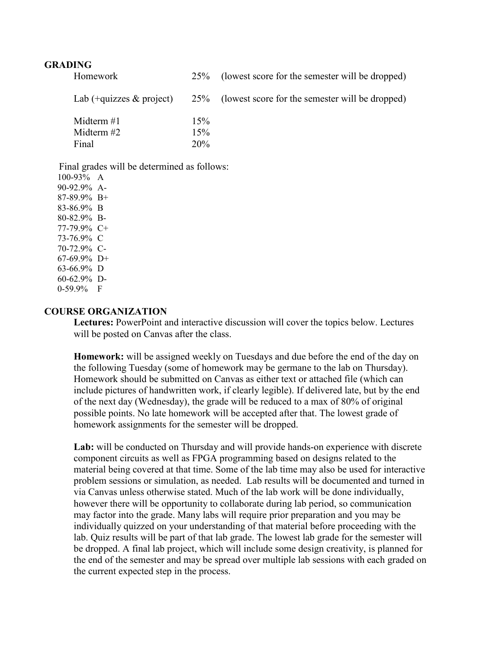#### **GRADING**

| Homework                                                                                                                                                           | 25% | (lowest score for the semester will be dropped) |
|--------------------------------------------------------------------------------------------------------------------------------------------------------------------|-----|-------------------------------------------------|
| Lab $(+quizes \& project)$                                                                                                                                         | 25% | (lowest score for the semester will be dropped) |
| Midterm $#1$                                                                                                                                                       | 15% |                                                 |
| Midterm #2                                                                                                                                                         | 15% |                                                 |
| Final                                                                                                                                                              | 20% |                                                 |
| Final grades will be determined as follows:<br>$100-93\%$ A<br>90-92.9% A-<br>87-89.9% B+<br>83-86.9% B<br>80-82.9% B-<br>77-79.9% C+<br>73-76.9% C<br>70-72.9% C- |     |                                                 |

70-72.9% C-67-69.9% D+ 63-66.9% D 60-62.9% D-

0-59.9% F

#### **COURSE ORGANIZATION**

**Lectures:** PowerPoint and interactive discussion will cover the topics below. Lectures will be posted on Canvas after the class.

**Homework:** will be assigned weekly on Tuesdays and due before the end of the day on the following Tuesday (some of homework may be germane to the lab on Thursday). Homework should be submitted on Canvas as either text or attached file (which can include pictures of handwritten work, if clearly legible). If delivered late, but by the end of the next day (Wednesday), the grade will be reduced to a max of 80% of original possible points. No late homework will be accepted after that. The lowest grade of homework assignments for the semester will be dropped.

**Lab:** will be conducted on Thursday and will provide hands-on experience with discrete component circuits as well as FPGA programming based on designs related to the material being covered at that time. Some of the lab time may also be used for interactive problem sessions or simulation, as needed. Lab results will be documented and turned in via Canvas unless otherwise stated. Much of the lab work will be done individually, however there will be opportunity to collaborate during lab period, so communication may factor into the grade. Many labs will require prior preparation and you may be individually quizzed on your understanding of that material before proceeding with the lab. Quiz results will be part of that lab grade. The lowest lab grade for the semester will be dropped. A final lab project, which will include some design creativity, is planned for the end of the semester and may be spread over multiple lab sessions with each graded on the current expected step in the process.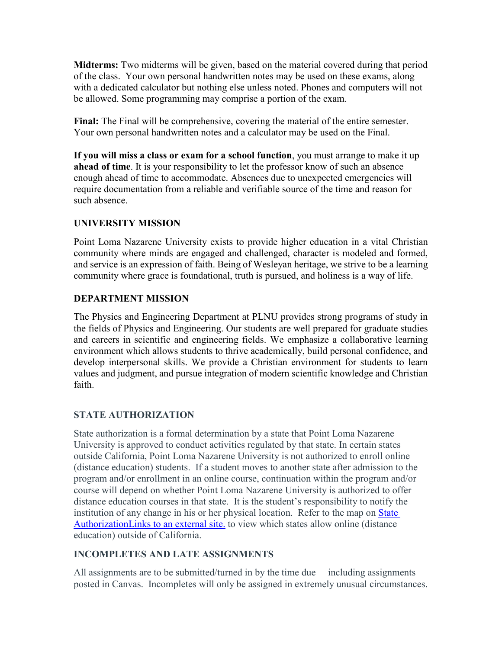**Midterms:** Two midterms will be given, based on the material covered during that period of the class. Your own personal handwritten notes may be used on these exams, along with a dedicated calculator but nothing else unless noted. Phones and computers will not be allowed. Some programming may comprise a portion of the exam.

**Final:** The Final will be comprehensive, covering the material of the entire semester. Your own personal handwritten notes and a calculator may be used on the Final.

**If you will miss a class or exam for a school function**, you must arrange to make it up **ahead of time**. It is your responsibility to let the professor know of such an absence enough ahead of time to accommodate. Absences due to unexpected emergencies will require documentation from a reliable and verifiable source of the time and reason for such absence.

# **UNIVERSITY MISSION**

Point Loma Nazarene University exists to provide higher education in a vital Christian community where minds are engaged and challenged, character is modeled and formed, and service is an expression of faith. Being of Wesleyan heritage, we strive to be a learning community where grace is foundational, truth is pursued, and holiness is a way of life.

### **DEPARTMENT MISSION**

The Physics and Engineering Department at PLNU provides strong programs of study in the fields of Physics and Engineering. Our students are well prepared for graduate studies and careers in scientific and engineering fields. We emphasize a collaborative learning environment which allows students to thrive academically, build personal confidence, and develop interpersonal skills. We provide a Christian environment for students to learn values and judgment, and pursue integration of modern scientific knowledge and Christian faith.

# **STATE AUTHORIZATION**

State authorization is a formal determination by a state that Point Loma Nazarene University is approved to conduct activities regulated by that state. In certain states outside California, Point Loma Nazarene University is not authorized to enroll online (distance education) students. If a student moves to another state after admission to the program and/or enrollment in an online course, continuation within the program and/or course will depend on whether Point Loma Nazarene University is authorized to offer distance education courses in that state. It is the student's responsibility to notify the institution of any change in his or her physical location. Refer to the map on [State](https://www.pointloma.edu/offices/office-institutional-effectiveness-research/disclosures)  [AuthorizationLinks](https://www.pointloma.edu/offices/office-institutional-effectiveness-research/disclosures) to an external site. to view which states allow online (distance education) outside of California.

# **INCOMPLETES AND LATE ASSIGNMENTS**

All assignments are to be submitted/turned in by the time due —including assignments posted in Canvas. Incompletes will only be assigned in extremely unusual circumstances.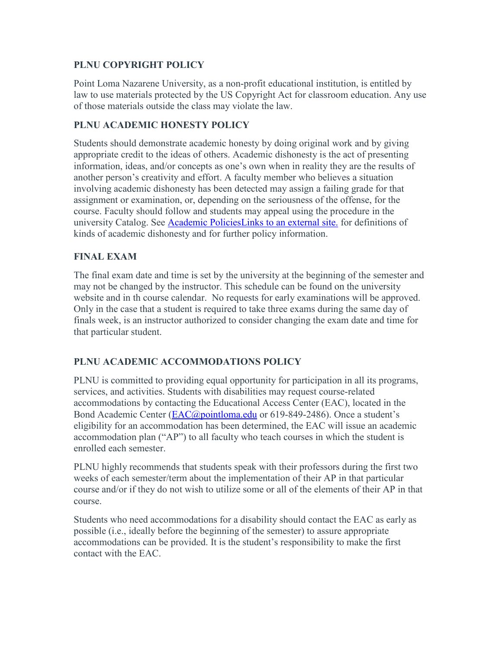### **PLNU COPYRIGHT POLICY**

Point Loma Nazarene University, as a non-profit educational institution, is entitled by law to use materials protected by the US Copyright Act for classroom education. Any use of those materials outside the class may violate the law.

### **PLNU ACADEMIC HONESTY POLICY**

Students should demonstrate academic honesty by doing original work and by giving appropriate credit to the ideas of others. Academic dishonesty is the act of presenting information, ideas, and/or concepts as one's own when in reality they are the results of another person's creativity and effort. A faculty member who believes a situation involving academic dishonesty has been detected may assign a failing grade for that assignment or examination, or, depending on the seriousness of the offense, for the course. Faculty should follow and students may appeal using the procedure in the university Catalog. See [Academic PoliciesLinks](http://catalog.pointloma.edu/content.php?catoid=18&navoid=1278) to an external site. for definitions of kinds of academic dishonesty and for further policy information.

# **FINAL EXAM**

The final exam date and time is set by the university at the beginning of the semester and may not be changed by the instructor. This schedule can be found on the university website and in th course calendar. No requests for early examinations will be approved. Only in the case that a student is required to take three exams during the same day of finals week, is an instructor authorized to consider changing the exam date and time for that particular student.

# **PLNU ACADEMIC ACCOMMODATIONS POLICY**

PLNU is committed to providing equal opportunity for participation in all its programs, services, and activities. Students with disabilities may request course-related accommodations by contacting the Educational Access Center (EAC), located in the Bond Academic Center [\(EAC@pointloma.edu](mailto:EAC@pointloma.edu) or 619-849-2486). Once a student's eligibility for an accommodation has been determined, the EAC will issue an academic accommodation plan ("AP") to all faculty who teach courses in which the student is enrolled each semester.

PLNU highly recommends that students speak with their professors during the first two weeks of each semester/term about the implementation of their AP in that particular course and/or if they do not wish to utilize some or all of the elements of their AP in that course.

Students who need accommodations for a disability should contact the EAC as early as possible (i.e., ideally before the beginning of the semester) to assure appropriate accommodations can be provided. It is the student's responsibility to make the first contact with the EAC.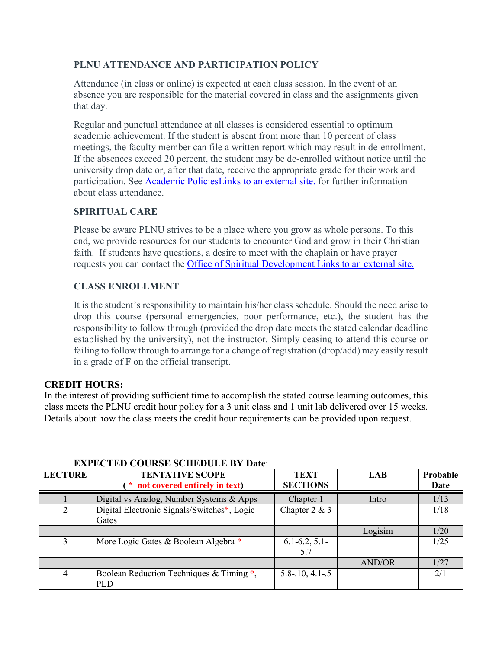# **PLNU ATTENDANCE AND PARTICIPATION POLICY**

Attendance (in class or online) is expected at each class session. In the event of an absence you are responsible for the material covered in class and the assignments given that day.

Regular and punctual attendance at all classes is considered essential to optimum academic achievement. If the student is absent from more than 10 percent of class meetings, the faculty member can file a written report which may result in de-enrollment. If the absences exceed 20 percent, the student may be de-enrolled without notice until the university drop date or, after that date, receive the appropriate grade for their work and participation. See [Academic PoliciesLinks](http://catalog.pointloma.edu/content.php?catoid=18&navoid=1278) to an external site. for further information about class attendance.

### **SPIRITUAL CARE**

Please be aware PLNU strives to be a place where you grow as whole persons. To this end, we provide resources for our students to encounter God and grow in their Christian faith. If students have questions, a desire to meet with the chaplain or have prayer requests you can contact the [Office of Spiritual Development](https://www.pointloma.edu/offices/spiritual-development) Links to an external site.

### **CLASS ENROLLMENT**

It is the student's responsibility to maintain his/her class schedule. Should the need arise to drop this course (personal emergencies, poor performance, etc.), the student has the responsibility to follow through (provided the drop date meets the stated calendar deadline established by the university), not the instructor. Simply ceasing to attend this course or failing to follow through to arrange for a change of registration (drop/add) may easily result in a grade of F on the official transcript.

#### **CREDIT HOURS:**

In the interest of providing sufficient time to accomplish the stated course learning outcomes, this class meets the PLNU credit hour policy for a 3 unit class and 1 unit lab delivered over 15 weeks. Details about how the class meets the credit hour requirements can be provided upon request.

| <b>LECTURE</b> | <b>TENTATIVE SCOPE</b><br>* not covered entirely in text) | <b>TEXT</b><br><b>SECTIONS</b> | <b>LAB</b>    | Probable<br>Date |
|----------------|-----------------------------------------------------------|--------------------------------|---------------|------------------|
|                | Digital vs Analog, Number Systems & Apps                  | Chapter 1                      | Intro         | 1/13             |
| 2              | Digital Electronic Signals/Switches*, Logic<br>Gates      | Chapter $2 & 3$                |               | 1/18             |
|                |                                                           |                                | Logisim       | 1/20             |
| 3              | More Logic Gates & Boolean Algebra *                      | $6.1 - 6.2, 5.1 -$<br>5.7      |               | 1/25             |
|                |                                                           |                                | <b>AND/OR</b> | 1/27             |
| $\overline{4}$ | Boolean Reduction Techniques & Timing *,<br><b>PLD</b>    | $5.8 - 10, 4.1 - 5$            |               | 2/1              |

#### **EXPECTED COURSE SCHEDULE BY Date**: